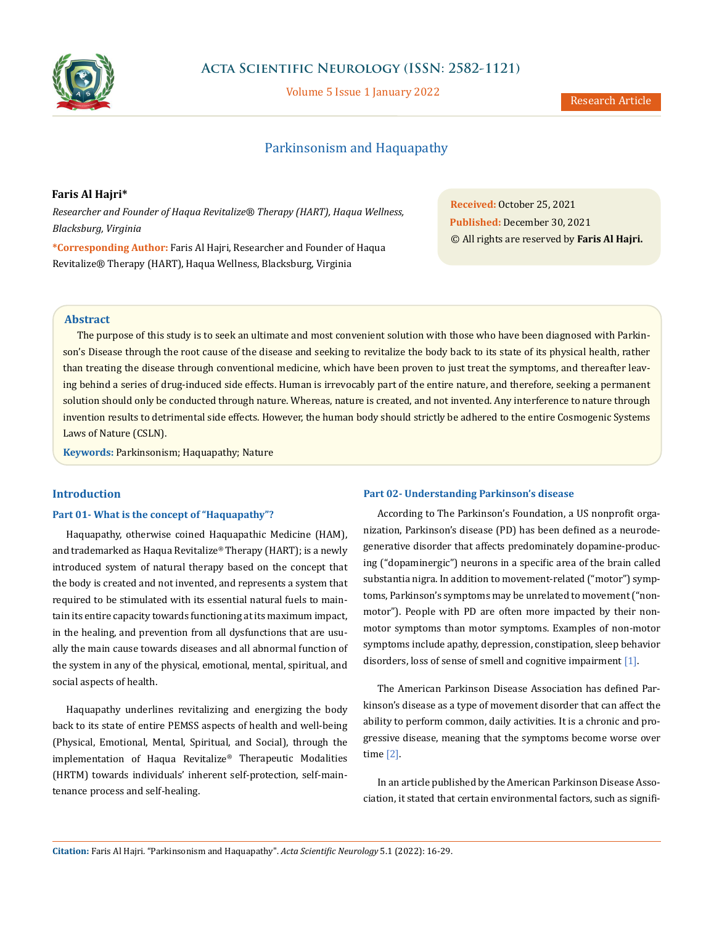

Volume 5 Issue 1 January 2022

# Parkinsonism and Haquapathy

## **Faris Al Hajri\***

*Researcher and Founder of Haqua Revitalize® Therapy (HART), Haqua Wellness, Blacksburg, Virginia*

**\*Corresponding Author:** Faris Al Hajri, Researcher and Founder of Haqua Revitalize® Therapy (HART), Haqua Wellness, Blacksburg, Virginia

**Received:** October 25, 2021 **Published:** December 30, 2021 © All rights are reserved by **Faris Al Hajri.**

## **Abstract**

The purpose of this study is to seek an ultimate and most convenient solution with those who have been diagnosed with Parkinson's Disease through the root cause of the disease and seeking to revitalize the body back to its state of its physical health, rather than treating the disease through conventional medicine, which have been proven to just treat the symptoms, and thereafter leaving behind a series of drug-induced side effects. Human is irrevocably part of the entire nature, and therefore, seeking a permanent solution should only be conducted through nature. Whereas, nature is created, and not invented. Any interference to nature through invention results to detrimental side effects. However, the human body should strictly be adhered to the entire Cosmogenic Systems Laws of Nature (CSLN).

**Keywords:** Parkinsonism; Haquapathy; Nature

## **Introduction**

#### **Part 01- What is the concept of "Haquapathy"?**

Haquapathy, otherwise coined Haquapathic Medicine (HAM), and trademarked as Haqua Revitalize® Therapy (HART); is a newly introduced system of natural therapy based on the concept that the body is created and not invented, and represents a system that required to be stimulated with its essential natural fuels to maintain its entire capacity towards functioning at its maximum impact, in the healing, and prevention from all dysfunctions that are usually the main cause towards diseases and all abnormal function of the system in any of the physical, emotional, mental, spiritual, and social aspects of health.

Haquapathy underlines revitalizing and energizing the body back to its state of entire PEMSS aspects of health and well-being (Physical, Emotional, Mental, Spiritual, and Social), through the implementation of Haqua Revitalize® Therapeutic Modalities (HRTM) towards individuals' inherent self-protection, self-maintenance process and self-healing.

#### **Part 02- Understanding Parkinson's disease**

According to The Parkinson's Foundation, a US nonprofit organization, Parkinson's disease (PD) has been defined as a neurodegenerative disorder that affects predominately dopamine-producing ("dopaminergic") neurons in a specific area of the brain called substantia nigra. In addition to movement-related ("motor") symptoms, Parkinson's symptoms may be unrelated to movement ("nonmotor"). People with PD are often more impacted by their nonmotor symptoms than motor symptoms. Examples of non-motor symptoms include apathy, depression, constipation, sleep behavior disorders, loss of sense of smell and cognitive impairment [1].

The American Parkinson Disease Association has defined Parkinson's disease as a type of movement disorder that can affect the ability to perform common, daily activities. It is a chronic and progressive disease, meaning that the symptoms become worse over time [2].

In an article published by the American Parkinson Disease Association, it stated that certain environmental factors, such as signifi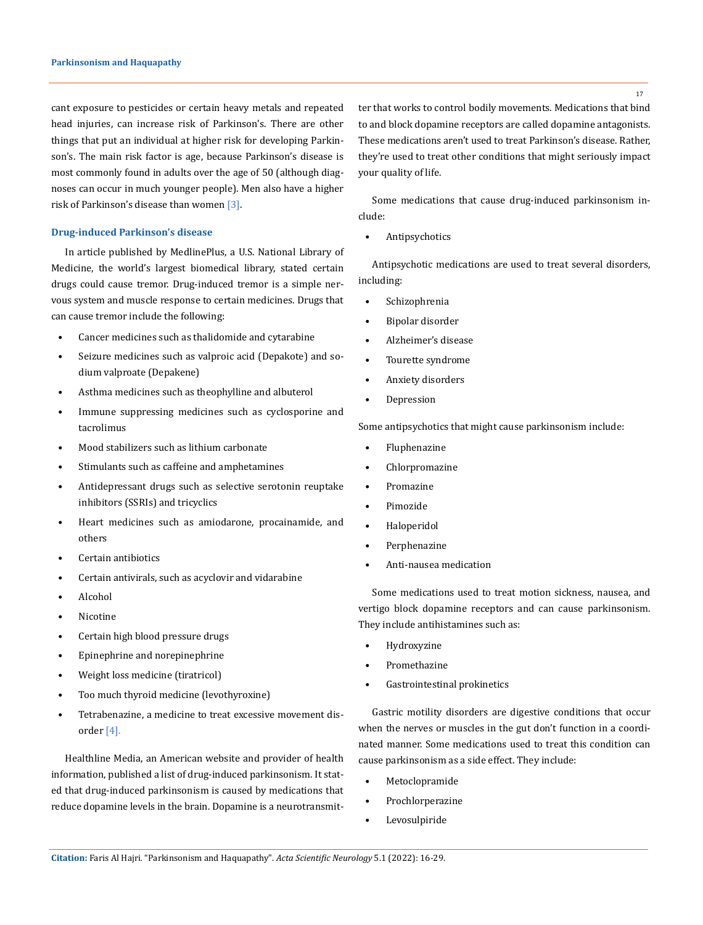cant exposure to pesticides or certain heavy metals and repeated head injuries, can increase risk of Parkinson's. There are other things that put an individual at higher risk for developing Parkinson's. The main risk factor is age, because Parkinson's disease is most commonly found in adults over the age of 50 (although diagnoses can occur in much younger people). Men also have a higher risk of Parkinson's disease than women [3].

#### **Drug-induced Parkinson's disease**

In article published by MedlinePlus, a U.S. National Library of Medicine, the world's largest biomedical library, stated certain drugs could cause tremor. Drug-induced tremor is a simple nervous system and muscle response to certain medicines. Drugs that can cause tremor include the following:

- Cancer medicines such as thalidomide and cytarabine
- Seizure medicines such as valproic acid (Depakote) and sodium valproate (Depakene)
- Asthma medicines such as theophylline and albuterol
- Immune suppressing medicines such as cyclosporine and tacrolimus
- Mood stabilizers such as lithium carbonate
- Stimulants such as caffeine and amphetamines
- Antidepressant drugs such as selective serotonin reuptake inhibitors (SSRIs) and tricyclics
- Heart medicines such as amiodarone, procainamide, and others
- Certain antibiotics
- Certain antivirals, such as acyclovir and vidarabine
- Alcohol
- **Nicotine**
- Certain high blood pressure drugs
- Epinephrine and norepinephrine
- Weight loss medicine (tiratricol)
- Too much thyroid medicine (levothyroxine)
- Tetrabenazine, a medicine to treat excessive movement disorder [4].

Healthline Media, an American website and provider of health information, published a list of drug-induced parkinsonism. It stated that drug-induced parkinsonism is caused by medications that reduce dopamine levels in the brain. Dopamine is a neurotransmitter that works to control bodily movements. Medications that bind to and block dopamine receptors are called dopamine antagonists. These medications aren't used to treat Parkinson's disease. Rather, they're used to treat other conditions that might seriously impact your quality of life.

Some medications that cause drug-induced parkinsonism include:

• Antipsychotics

Antipsychotic medications are used to treat several disorders, including:

- **Schizophrenia**
- Bipolar disorder
- Alzheimer's disease
- Tourette syndrome
- Anxiety disorders
- Depression

Some antipsychotics that might cause parkinsonism include:

- Fluphenazine
- Chlorpromazine
- Promazine
- Pimozide
- Haloperidol
- Perphenazine
- Anti-nausea medication

Some medications used to treat motion sickness, nausea, and vertigo block dopamine receptors and can cause parkinsonism. They include antihistamines such as:

- **Hydroxyzine**
- Promethazine
- Gastrointestinal prokinetics

Gastric motility disorders are digestive conditions that occur when the nerves or muscles in the gut don't function in a coordinated manner. Some medications used to treat this condition can cause parkinsonism as a side effect. They include:

- **Metoclopramide**
- **Prochlorperazine**
- **Levosulpiride**

17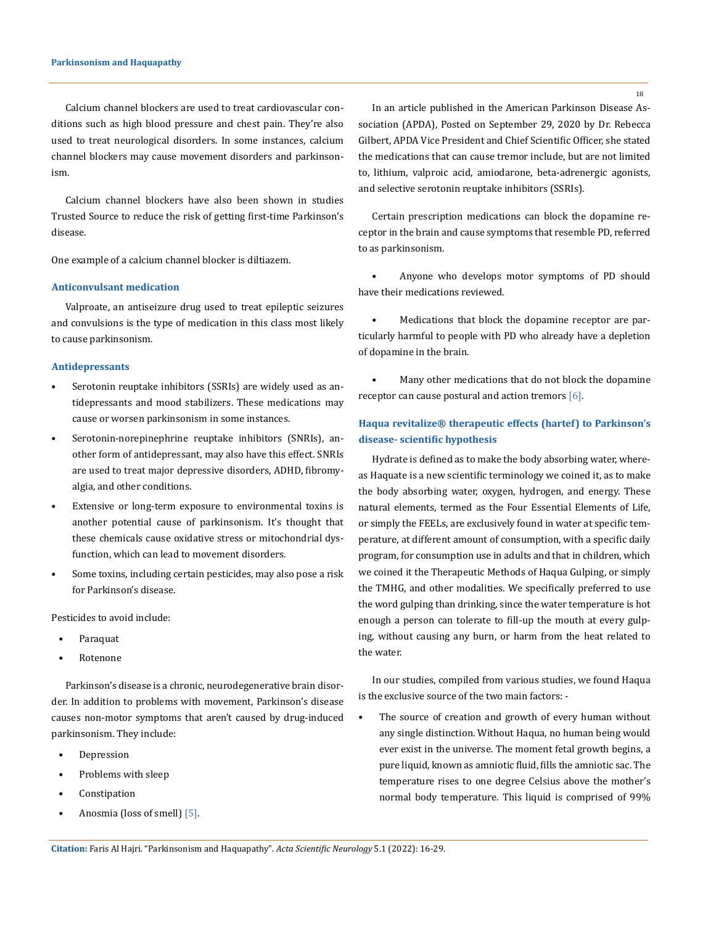#### **Parkinsonism and Haquapathy**

Calcium channel blockers are used to treat cardiovascular conditions such as high blood pressure and chest pain. They're also used to treat neurological disorders. In some instances, calcium channel blockers may cause movement disorders and parkinsonism.

Calcium channel blockers have also been shown in studies Trusted Source to reduce the risk of getting first-time Parkinson's disease.

One example of a calcium channel blocker is diltiazem.

#### **Anticonvulsant medication**

Valproate, an antiseizure drug used to treat epileptic seizures and convulsions is the type of medication in this class most likely to cause parkinsonism.

### **Antidepressants**

- Serotonin reuptake inhibitors (SSRIs) are widely used as antidepressants and mood stabilizers. These medications may cause or worsen parkinsonism in some instances.
- Serotonin-norepinephrine reuptake inhibitors (SNRIs), another form of antidepressant, may also have this effect. SNRIs are used to treat major depressive disorders, ADHD, fibromyalgia, and other conditions.
- Extensive or long-term exposure to environmental toxins is another potential cause of parkinsonism. It's thought that these chemicals cause oxidative stress or mitochondrial dysfunction, which can lead to movement disorders.
- Some toxins, including certain pesticides, may also pose a risk for Parkinson's disease.

Pesticides to avoid include:

- Paraquat
- Rotenone

Parkinson's disease is a chronic, neurodegenerative brain disorder. In addition to problems with movement, Parkinson's disease causes non-motor symptoms that aren't caused by drug-induced parkinsonism. They include:

- Depression
- Problems with sleep
- **Constipation**
- Anosmia (loss of smell) [5].

In an article published in the American Parkinson Disease Association (APDA), Posted on September 29, 2020 by Dr. Rebecca Gilbert, APDA Vice President and Chief Scientific Officer, she stated the medications that can cause tremor include, but are not limited to, lithium, valproic acid, amiodarone, beta-adrenergic agonists, and selective serotonin reuptake inhibitors (SSRIs).

Certain prescription medications can block the dopamine receptor in the brain and cause symptoms that resemble PD, referred to as parkinsonism.

• Anyone who develops motor symptoms of PD should have their medications reviewed.

• Medications that block the dopamine receptor are particularly harmful to people with PD who already have a depletion of dopamine in the brain.

Many other medications that do not block the dopamine receptor can cause postural and action tremors [6].

# **Haqua revitalize® therapeutic effects (hartef) to Parkinson's disease- scientific hypothesis**

Hydrate is defined as to make the body absorbing water, whereas Haquate is a new scientific terminology we coined it, as to make the body absorbing water, oxygen, hydrogen, and energy. These natural elements, termed as the Four Essential Elements of Life, or simply the FEELs, are exclusively found in water at specific temperature, at different amount of consumption, with a specific daily program, for consumption use in adults and that in children, which we coined it the Therapeutic Methods of Haqua Gulping, or simply the TMHG, and other modalities. We specifically preferred to use the word gulping than drinking, since the water temperature is hot enough a person can tolerate to fill-up the mouth at every gulping, without causing any burn, or harm from the heat related to the water.

In our studies, compiled from various studies, we found Haqua is the exclusive source of the two main factors: -

The source of creation and growth of every human without any single distinction. Without Haqua, no human being would ever exist in the universe. The moment fetal growth begins, a pure liquid, known as amniotic fluid, fills the amniotic sac. The temperature rises to one degree Celsius above the mother's normal body temperature. This liquid is comprised of 99%

**Citation:** Faris Al Hajri*.* "Parkinsonism and Haquapathy". *Acta Scientific Neurology* 5.1 (2022): 16-29.

18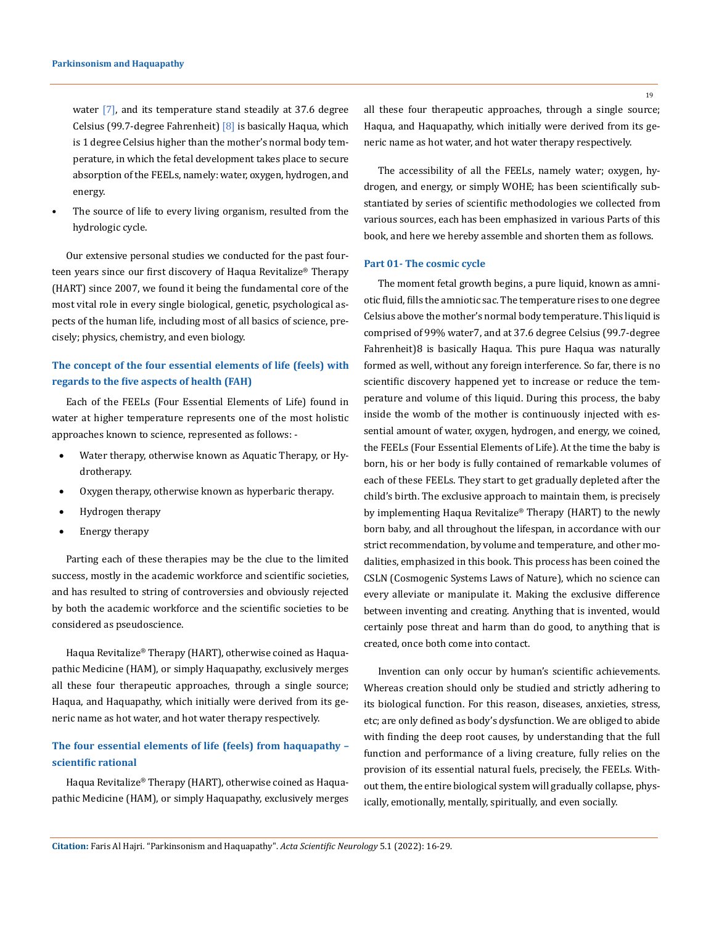water [7], and its temperature stand steadily at 37.6 degree Celsius (99.7-degree Fahrenheit) [8] is basically Haqua, which is 1 degree Celsius higher than the mother's normal body temperature, in which the fetal development takes place to secure absorption of the FEELs, namely: water, oxygen, hydrogen, and energy.

The source of life to every living organism, resulted from the hydrologic cycle.

Our extensive personal studies we conducted for the past fourteen years since our first discovery of Haqua Revitalize® Therapy (HART) since 2007, we found it being the fundamental core of the most vital role in every single biological, genetic, psychological aspects of the human life, including most of all basics of science, precisely; physics, chemistry, and even biology.

# **The concept of the four essential elements of life (feels) with regards to the five aspects of health (FAH)**

Each of the FEELs (Four Essential Elements of Life) found in water at higher temperature represents one of the most holistic approaches known to science, represented as follows: -

- Water therapy, otherwise known as Aquatic Therapy, or Hydrotherapy.
- Oxygen therapy, otherwise known as hyperbaric therapy.
- Hydrogen therapy
- Energy therapy

Parting each of these therapies may be the clue to the limited success, mostly in the academic workforce and scientific societies, and has resulted to string of controversies and obviously rejected by both the academic workforce and the scientific societies to be considered as pseudoscience.

Haqua Revitalize® Therapy (HART), otherwise coined as Haquapathic Medicine (HAM), or simply Haquapathy, exclusively merges all these four therapeutic approaches, through a single source; Haqua, and Haquapathy, which initially were derived from its generic name as hot water, and hot water therapy respectively.

# **The four essential elements of life (feels) from haquapathy – scientific rational**

Haqua Revitalize® Therapy (HART), otherwise coined as Haquapathic Medicine (HAM), or simply Haquapathy, exclusively merges all these four therapeutic approaches, through a single source; Haqua, and Haquapathy, which initially were derived from its generic name as hot water, and hot water therapy respectively.

The accessibility of all the FEELs, namely water; oxygen, hydrogen, and energy, or simply WOHE; has been scientifically substantiated by series of scientific methodologies we collected from various sources, each has been emphasized in various Parts of this book, and here we hereby assemble and shorten them as follows.

#### **Part 01- The cosmic cycle**

The moment fetal growth begins, a pure liquid, known as amniotic fluid, fills the amniotic sac. The temperature rises to one degree Celsius above the mother's normal body temperature. This liquid is comprised of 99% water7, and at 37.6 degree Celsius (99.7-degree Fahrenheit)8 is basically Haqua. This pure Haqua was naturally formed as well, without any foreign interference. So far, there is no scientific discovery happened yet to increase or reduce the temperature and volume of this liquid. During this process, the baby inside the womb of the mother is continuously injected with essential amount of water, oxygen, hydrogen, and energy, we coined, the FEELs (Four Essential Elements of Life). At the time the baby is born, his or her body is fully contained of remarkable volumes of each of these FEELs. They start to get gradually depleted after the child's birth. The exclusive approach to maintain them, is precisely by implementing Haqua Revitalize® Therapy (HART) to the newly born baby, and all throughout the lifespan, in accordance with our strict recommendation, by volume and temperature, and other modalities, emphasized in this book. This process has been coined the CSLN (Cosmogenic Systems Laws of Nature), which no science can every alleviate or manipulate it. Making the exclusive difference between inventing and creating. Anything that is invented, would certainly pose threat and harm than do good, to anything that is created, once both come into contact.

Invention can only occur by human's scientific achievements. Whereas creation should only be studied and strictly adhering to its biological function. For this reason, diseases, anxieties, stress, etc; are only defined as body's dysfunction. We are obliged to abide with finding the deep root causes, by understanding that the full function and performance of a living creature, fully relies on the provision of its essential natural fuels, precisely, the FEELs. Without them, the entire biological system will gradually collapse, physically, emotionally, mentally, spiritually, and even socially.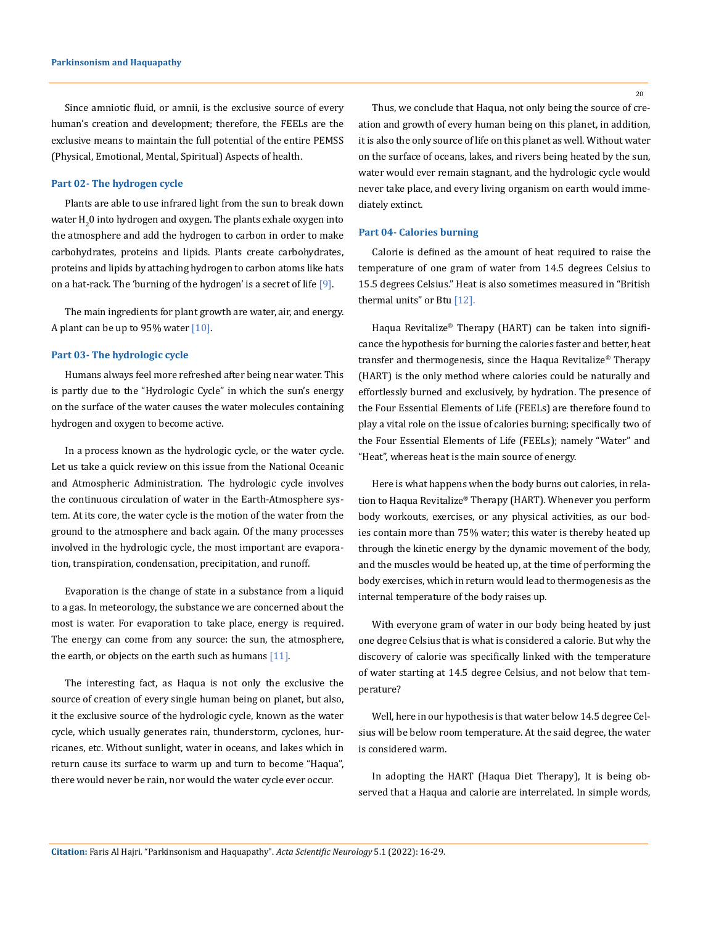Since amniotic fluid, or amnii, is the exclusive source of every human's creation and development; therefore, the FEELs are the exclusive means to maintain the full potential of the entire PEMSS (Physical, Emotional, Mental, Spiritual) Aspects of health.

#### **Part 02- The hydrogen cycle**

Plants are able to use infrared light from the sun to break down water  $\mathrm{H}_2^{}$ 0 into hydrogen and oxygen. The plants exhale oxygen into the atmosphere and add the hydrogen to carbon in order to make carbohydrates, proteins and lipids. Plants create carbohydrates, proteins and lipids by attaching hydrogen to carbon atoms like hats on a hat-rack. The 'burning of the hydrogen' is a secret of life [9].

The main ingredients for plant growth are water, air, and energy. A plant can be up to 95% water  $[10]$ .

#### **Part 03- The hydrologic cycle**

Humans always feel more refreshed after being near water. This is partly due to the "Hydrologic Cycle" in which the sun's energy on the surface of the water causes the water molecules containing hydrogen and oxygen to become active.

In a process known as the hydrologic cycle, or the water cycle. Let us take a quick review on this issue from the National Oceanic and Atmospheric Administration. The hydrologic cycle involves the continuous circulation of water in the Earth-Atmosphere system. At its core, the water cycle is the motion of the water from the ground to the atmosphere and back again. Of the many processes involved in the hydrologic cycle, the most important are evaporation, transpiration, condensation, precipitation, and runoff.

Evaporation is the change of state in a substance from a liquid to a gas. In meteorology, the substance we are concerned about the most is water. For evaporation to take place, energy is required. The energy can come from any source: the sun, the atmosphere, the earth, or objects on the earth such as humans  $[11]$ .

The interesting fact, as Haqua is not only the exclusive the source of creation of every single human being on planet, but also, it the exclusive source of the hydrologic cycle, known as the water cycle, which usually generates rain, thunderstorm, cyclones, hurricanes, etc. Without sunlight, water in oceans, and lakes which in return cause its surface to warm up and turn to become "Haqua", there would never be rain, nor would the water cycle ever occur.

Thus, we conclude that Haqua, not only being the source of creation and growth of every human being on this planet, in addition, it is also the only source of life on this planet as well. Without water on the surface of oceans, lakes, and rivers being heated by the sun, water would ever remain stagnant, and the hydrologic cycle would never take place, and every living organism on earth would immediately extinct.

#### **Part 04- Calories burning**

Calorie is defined as the amount of heat required to raise the temperature of one gram of water from 14.5 degrees Celsius to 15.5 degrees Celsius." Heat is also sometimes measured in "British thermal units" or Btu [12].

Haqua Revitalize® Therapy (HART) can be taken into significance the hypothesis for burning the calories faster and better, heat transfer and thermogenesis, since the Haqua Revitalize® Therapy (HART) is the only method where calories could be naturally and effortlessly burned and exclusively, by hydration. The presence of the Four Essential Elements of Life (FEELs) are therefore found to play a vital role on the issue of calories burning; specifically two of the Four Essential Elements of Life (FEELs); namely "Water" and "Heat", whereas heat is the main source of energy.

Here is what happens when the body burns out calories, in relation to Haqua Revitalize® Therapy (HART). Whenever you perform body workouts, exercises, or any physical activities, as our bodies contain more than 75% water; this water is thereby heated up through the kinetic energy by the dynamic movement of the body, and the muscles would be heated up, at the time of performing the body exercises, which in return would lead to thermogenesis as the internal temperature of the body raises up.

With everyone gram of water in our body being heated by just one degree Celsius that is what is considered a calorie. But why the discovery of calorie was specifically linked with the temperature of water starting at 14.5 degree Celsius, and not below that temperature?

Well, here in our hypothesis is that water below 14.5 degree Celsius will be below room temperature. At the said degree, the water is considered warm.

In adopting the HART (Haqua Diet Therapy), It is being observed that a Haqua and calorie are interrelated. In simple words,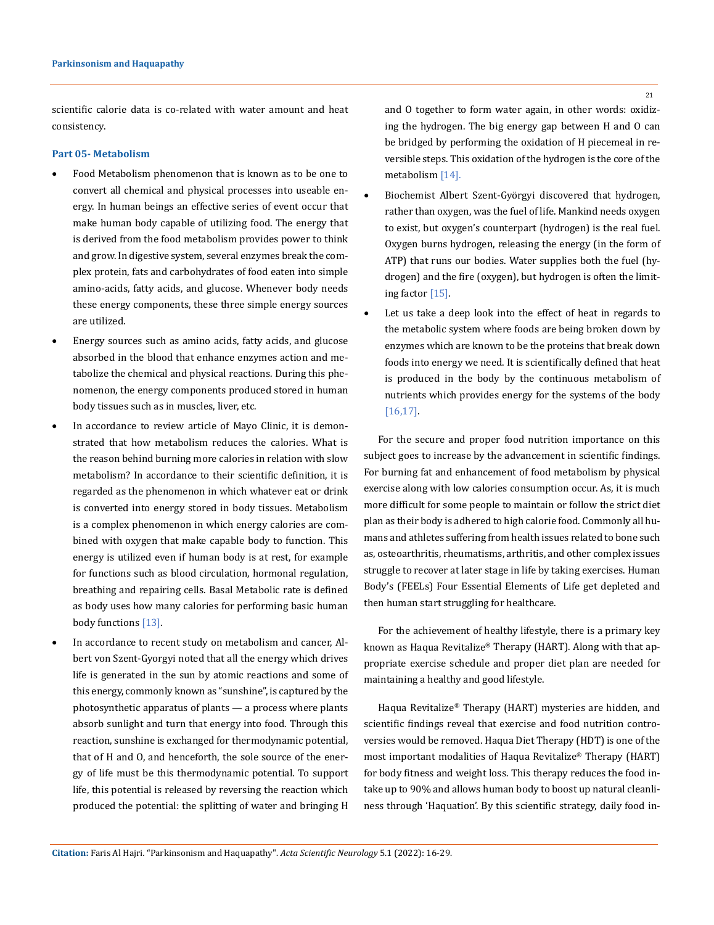scientific calorie data is co-related with water amount and heat consistency.

## **Part 05- Metabolism**

- Food Metabolism phenomenon that is known as to be one to convert all chemical and physical processes into useable energy. In human beings an effective series of event occur that make human body capable of utilizing food. The energy that is derived from the food metabolism provides power to think and grow. In digestive system, several enzymes break the complex protein, fats and carbohydrates of food eaten into simple amino-acids, fatty acids, and glucose. Whenever body needs these energy components, these three simple energy sources are utilized.
- Energy sources such as amino acids, fatty acids, and glucose absorbed in the blood that enhance enzymes action and metabolize the chemical and physical reactions. During this phenomenon, the energy components produced stored in human body tissues such as in muscles, liver, etc.
- In accordance to review article of Mayo Clinic, it is demonstrated that how metabolism reduces the calories. What is the reason behind burning more calories in relation with slow metabolism? In accordance to their scientific definition, it is regarded as the phenomenon in which whatever eat or drink is converted into energy stored in body tissues. Metabolism is a complex phenomenon in which energy calories are combined with oxygen that make capable body to function. This energy is utilized even if human body is at rest, for example for functions such as blood circulation, hormonal regulation, breathing and repairing cells. Basal Metabolic rate is defined as body uses how many calories for performing basic human body functions [13].
- In accordance to recent study on metabolism and cancer, Albert von Szent-Gyorgyi noted that all the energy which drives life is generated in the sun by atomic reactions and some of this energy, commonly known as "sunshine", is captured by the photosynthetic apparatus of plants — a process where plants absorb sunlight and turn that energy into food. Through this reaction, sunshine is exchanged for thermodynamic potential, that of H and O, and henceforth, the sole source of the energy of life must be this thermodynamic potential. To support life, this potential is released by reversing the reaction which produced the potential: the splitting of water and bringing H

and O together to form water again, in other words: oxidizing the hydrogen. The big energy gap between H and O can be bridged by performing the oxidation of H piecemeal in reversible steps. This oxidation of the hydrogen is the core of the metabolism [14].

- Biochemist Albert Szent-Györgyi discovered that hydrogen, rather than oxygen, was the fuel of life. Mankind needs oxygen to exist, but oxygen's counterpart (hydrogen) is the real fuel. Oxygen burns hydrogen, releasing the energy (in the form of ATP) that runs our bodies. Water supplies both the fuel (hydrogen) and the fire (oxygen), but hydrogen is often the limiting factor [15].
- Let us take a deep look into the effect of heat in regards to the metabolic system where foods are being broken down by enzymes which are known to be the proteins that break down foods into energy we need. It is scientifically defined that heat is produced in the body by the continuous metabolism of nutrients which provides energy for the systems of the body [16,17].

For the secure and proper food nutrition importance on this subject goes to increase by the advancement in scientific findings. For burning fat and enhancement of food metabolism by physical exercise along with low calories consumption occur. As, it is much more difficult for some people to maintain or follow the strict diet plan as their body is adhered to high calorie food. Commonly all humans and athletes suffering from health issues related to bone such as, osteoarthritis, rheumatisms, arthritis, and other complex issues struggle to recover at later stage in life by taking exercises. Human Body's (FEELs) Four Essential Elements of Life get depleted and then human start struggling for healthcare.

For the achievement of healthy lifestyle, there is a primary key known as Haqua Revitalize® Therapy (HART). Along with that appropriate exercise schedule and proper diet plan are needed for maintaining a healthy and good lifestyle.

Haqua Revitalize® Therapy (HART) mysteries are hidden, and scientific findings reveal that exercise and food nutrition controversies would be removed. Haqua Diet Therapy (HDT) is one of the most important modalities of Haqua Revitalize® Therapy (HART) for body fitness and weight loss. This therapy reduces the food intake up to 90% and allows human body to boost up natural cleanliness through 'Haquation'. By this scientific strategy, daily food in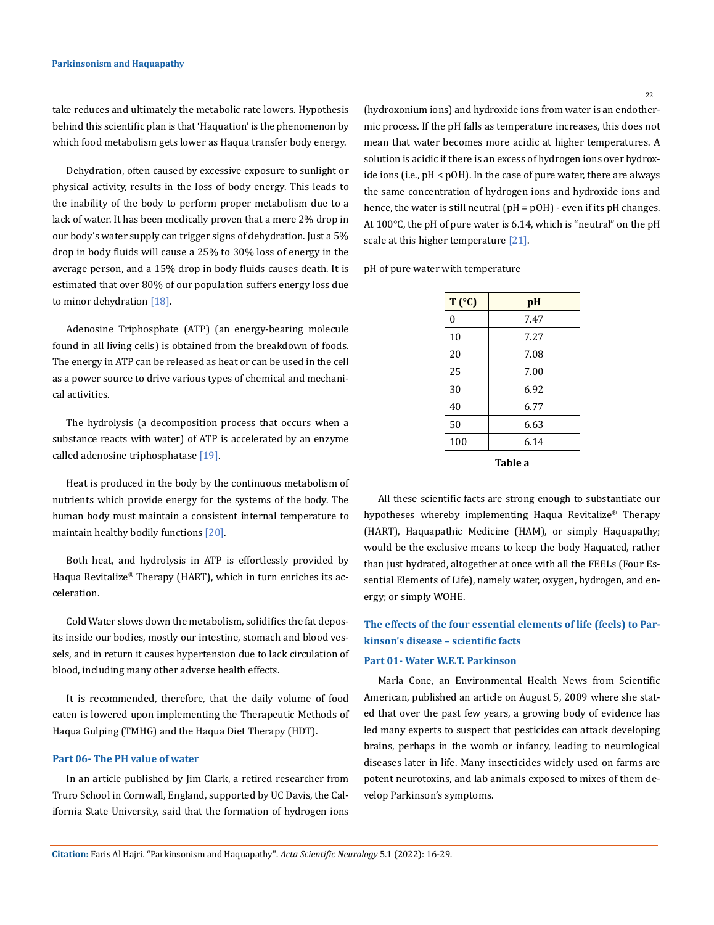take reduces and ultimately the metabolic rate lowers. Hypothesis behind this scientific plan is that 'Haquation' is the phenomenon by which food metabolism gets lower as Haqua transfer body energy.

Dehydration, often caused by excessive exposure to sunlight or physical activity, results in the loss of body energy. This leads to the inability of the body to perform proper metabolism due to a lack of water. It has been medically proven that a mere 2% drop in our body's water supply can trigger signs of dehydration. Just a 5% drop in body fluids will cause a 25% to 30% loss of energy in the average person, and a 15% drop in body fluids causes death. It is estimated that over 80% of our population suffers energy loss due to minor dehydration [18].

Adenosine Triphosphate (ATP) (an energy-bearing molecule found in all living cells) is obtained from the breakdown of foods. The energy in ATP can be released as heat or can be used in the cell as a power source to drive various types of chemical and mechanical activities.

The hydrolysis (a decomposition process that occurs when a substance reacts with water) of ATP is accelerated by an enzyme called adenosine triphosphatase [19].

Heat is produced in the body by the continuous metabolism of nutrients which provide energy for the systems of the body. The human body must maintain a consistent internal temperature to maintain healthy bodily functions [20].

Both heat, and hydrolysis in ATP is effortlessly provided by Haqua Revitalize® Therapy (HART), which in turn enriches its acceleration.

Cold Water slows down the metabolism, solidifies the fat deposits inside our bodies, mostly our intestine, stomach and blood vessels, and in return it causes hypertension due to lack circulation of blood, including many other adverse health effects.

It is recommended, therefore, that the daily volume of food eaten is lowered upon implementing the Therapeutic Methods of Haqua Gulping (TMHG) and the Haqua Diet Therapy (HDT).

### **Part 06- The PH value of water**

In an article published by Jim Clark, a retired researcher from Truro School in Cornwall, England, supported by UC Davis, the California State University, said that the formation of hydrogen ions (hydroxonium ions) and hydroxide ions from water is an endothermic process. If the pH falls as temperature increases, this does not mean that water becomes more acidic at higher temperatures. A solution is acidic if there is an excess of hydrogen ions over hydroxide ions (i.e., pH < pOH). In the case of pure water, there are always the same concentration of hydrogen ions and hydroxide ions and hence, the water is still neutral (pH = pOH) - even if its pH changes. At 100°C, the pH of pure water is 6.14, which is "neutral" on the pH scale at this higher temperature [21].

pH of pure water with temperature

| $T$ $(C)$    | pH   |
|--------------|------|
| $\mathbf{0}$ | 7.47 |
| 10           | 7.27 |
| 20           | 7.08 |
| 25           | 7.00 |
| 30           | 6.92 |
| 40           | 6.77 |
| 50           | 6.63 |
| 100          | 6.14 |
| п<br>--      |      |

**Table a**

All these scientific facts are strong enough to substantiate our hypotheses whereby implementing Haqua Revitalize® Therapy (HART), Haquapathic Medicine (HAM), or simply Haquapathy; would be the exclusive means to keep the body Haquated, rather than just hydrated, altogether at once with all the FEELs (Four Essential Elements of Life), namely water, oxygen, hydrogen, and energy; or simply WOHE.

# **The effects of the four essential elements of life (feels) to Parkinson's disease – scientific facts**

### **Part 01- Water W.E.T. Parkinson**

Marla Cone, an Environmental Health News from Scientific American, published an article on August 5, 2009 where she stated that over the past few years, a growing body of evidence has led many experts to suspect that pesticides can attack developing brains, perhaps in the womb or infancy, leading to neurological diseases later in life. Many insecticides widely used on farms are potent neurotoxins, and lab animals exposed to mixes of them develop Parkinson's symptoms.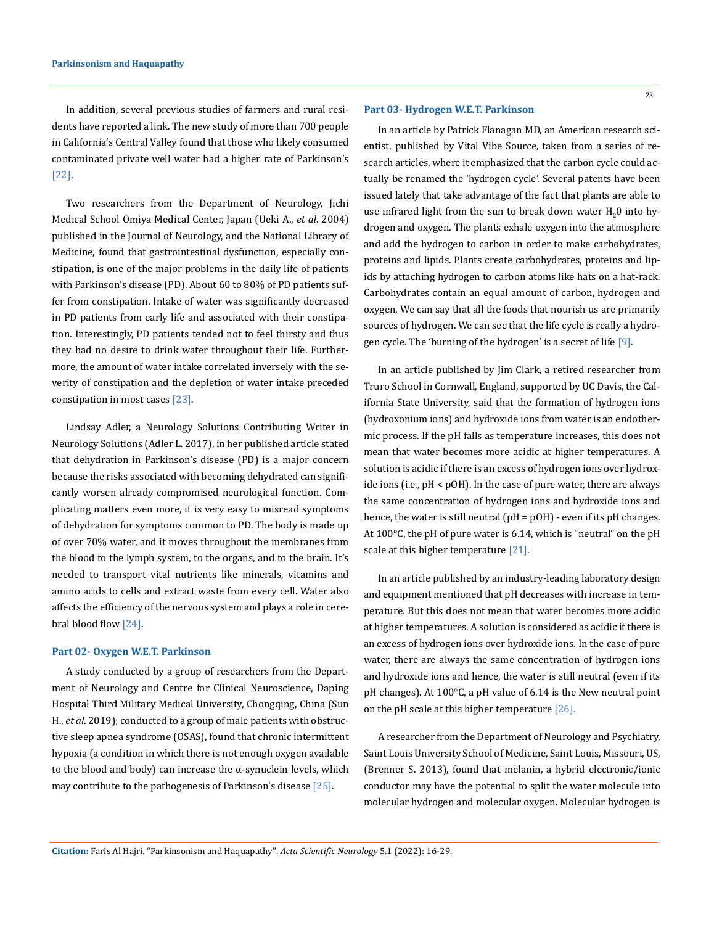In addition, several previous studies of farmers and rural residents have reported a link. The new study of more than 700 people in California's Central Valley found that those who likely consumed contaminated private well water had a higher rate of Parkinson's [22].

Two researchers from the Department of Neurology, Jichi Medical School Omiya Medical Center, Japan (Ueki A., *et al*. 2004) published in the Journal of Neurology, and the National Library of Medicine, found that gastrointestinal dysfunction, especially constipation, is one of the major problems in the daily life of patients with Parkinson's disease (PD). About 60 to 80% of PD patients suffer from constipation. Intake of water was significantly decreased in PD patients from early life and associated with their constipation. Interestingly, PD patients tended not to feel thirsty and thus they had no desire to drink water throughout their life. Furthermore, the amount of water intake correlated inversely with the severity of constipation and the depletion of water intake preceded constipation in most cases [23].

Lindsay Adler, a Neurology Solutions Contributing Writer in Neurology Solutions (Adler L. 2017), in her published article stated that dehydration in Parkinson's disease (PD) is a major concern because the risks associated with becoming dehydrated can significantly worsen already compromised neurological function. Complicating matters even more, it is very easy to misread symptoms of dehydration for symptoms common to PD. The body is made up of over 70% water, and it moves throughout the membranes from the blood to the lymph system, to the organs, and to the brain. It's needed to transport vital nutrients like minerals, vitamins and amino acids to cells and extract waste from every cell. Water also affects the efficiency of the nervous system and plays a role in cerebral blood flow [24].

#### **Part 02- Oxygen W.E.T. Parkinson**

A study conducted by a group of researchers from the Department of Neurology and Centre for Clinical Neuroscience, Daping Hospital Third Military Medical University, Chongqing, China (Sun H., *et al*. 2019); conducted to a group of male patients with obstructive sleep apnea syndrome (OSAS), found that chronic intermittent hypoxia (a condition in which there is not enough oxygen available to the blood and body) can increase the α-synuclein levels, which may contribute to the pathogenesis of Parkinson's disease [25].

#### **Part 03- Hydrogen W.E.T. Parkinson**

In an article by Patrick Flanagan MD, an American research scientist, published by Vital Vibe Source, taken from a series of research articles, where it emphasized that the carbon cycle could actually be renamed the 'hydrogen cycle'. Several patents have been issued lately that take advantage of the fact that plants are able to use infrared light from the sun to break down water  $\rm H_{2}$ 0 into hydrogen and oxygen. The plants exhale oxygen into the atmosphere and add the hydrogen to carbon in order to make carbohydrates, proteins and lipids. Plants create carbohydrates, proteins and lipids by attaching hydrogen to carbon atoms like hats on a hat-rack. Carbohydrates contain an equal amount of carbon, hydrogen and oxygen. We can say that all the foods that nourish us are primarily sources of hydrogen. We can see that the life cycle is really a hydrogen cycle. The 'burning of the hydrogen' is a secret of life [9].

In an article published by Jim Clark, a retired researcher from Truro School in Cornwall, England, supported by UC Davis, the California State University, said that the formation of hydrogen ions (hydroxonium ions) and hydroxide ions from water is an endothermic process. If the pH falls as temperature increases, this does not mean that water becomes more acidic at higher temperatures. A solution is acidic if there is an excess of hydrogen ions over hydroxide ions (i.e., pH < pOH). In the case of pure water, there are always the same concentration of hydrogen ions and hydroxide ions and hence, the water is still neutral  $(pH = pOH)$  - even if its pH changes. At 100°C, the pH of pure water is 6.14, which is "neutral" on the pH scale at this higher temperature [21].

In an article published by an industry-leading laboratory design and equipment mentioned that pH decreases with increase in temperature. But this does not mean that water becomes more acidic at higher temperatures. A solution is considered as acidic if there is an excess of hydrogen ions over hydroxide ions. In the case of pure water, there are always the same concentration of hydrogen ions and hydroxide ions and hence, the water is still neutral (even if its pH changes). At 100°C, a pH value of 6.14 is the New neutral point on the pH scale at this higher temperature [26].

A researcher from the Department of Neurology and Psychiatry, Saint Louis University School of Medicine, Saint Louis, Missouri, US, (Brenner S. 2013), found that melanin, a hybrid electronic/ionic conductor may have the potential to split the water molecule into molecular hydrogen and molecular oxygen. Molecular hydrogen is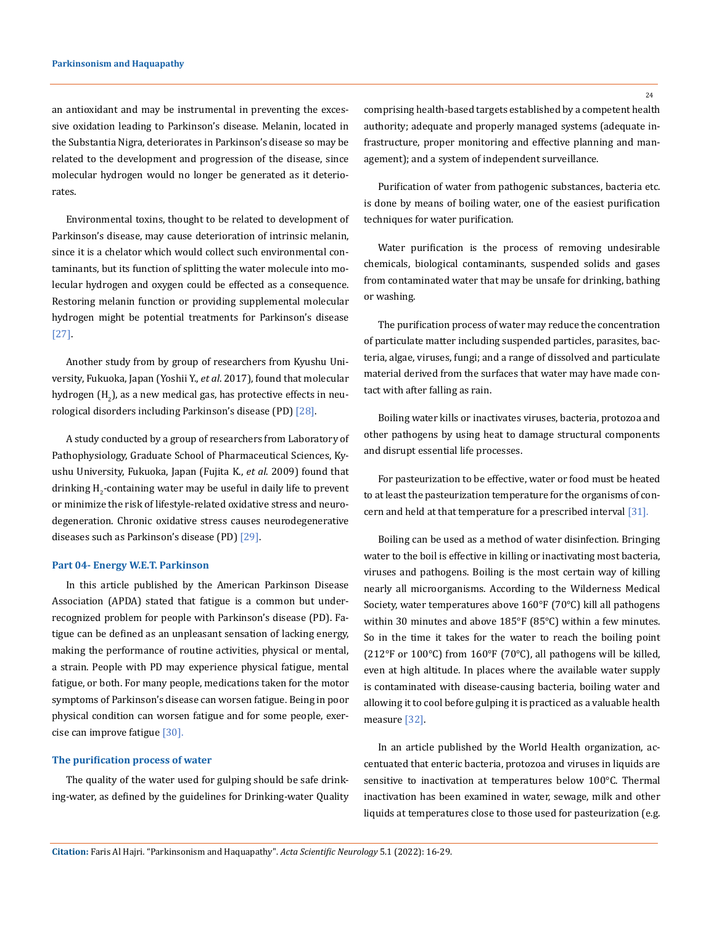an antioxidant and may be instrumental in preventing the excessive oxidation leading to Parkinson's disease. Melanin, located in the Substantia Nigra, deteriorates in Parkinson's disease so may be related to the development and progression of the disease, since molecular hydrogen would no longer be generated as it deteriorates.

Environmental toxins, thought to be related to development of Parkinson's disease, may cause deterioration of intrinsic melanin, since it is a chelator which would collect such environmental contaminants, but its function of splitting the water molecule into molecular hydrogen and oxygen could be effected as a consequence. Restoring melanin function or providing supplemental molecular hydrogen might be potential treatments for Parkinson's disease [27].

Another study from by group of researchers from Kyushu University, Fukuoka, Japan (Yoshii Y., *et al*. 2017), found that molecular hydrogen  $\rm(H_{2})$ , as a new medical gas, has protective effects in neurological disorders including Parkinson's disease (PD) [28].

A study conducted by a group of researchers from Laboratory of Pathophysiology, Graduate School of Pharmaceutical Sciences, Kyushu University, Fukuoka, Japan (Fujita K., *et al*. 2009) found that drinking H<sub>2</sub>-containing water may be useful in daily life to prevent or minimize the risk of lifestyle-related oxidative stress and neurodegeneration. Chronic oxidative stress causes neurodegenerative diseases such as Parkinson's disease (PD) [29].

#### **Part 04- Energy W.E.T. Parkinson**

In this article published by the American Parkinson Disease Association (APDA) stated that fatigue is a common but underrecognized problem for people with Parkinson's disease (PD). Fatigue can be defined as an unpleasant sensation of lacking energy, making the performance of routine activities, physical or mental, a strain. People with PD may experience physical fatigue, mental fatigue, or both. For many people, medications taken for the motor symptoms of Parkinson's disease can worsen fatigue. Being in poor physical condition can worsen fatigue and for some people, exercise can improve fatigue [30].

#### **The purification process of water**

The quality of the water used for gulping should be safe drinking-water, as defined by the guidelines for Drinking-water Quality comprising health-based targets established by a competent health authority; adequate and properly managed systems (adequate infrastructure, proper monitoring and effective planning and management); and a system of independent surveillance.

Purification of water from pathogenic substances, bacteria etc. is done by means of boiling water, one of the easiest purification techniques for water purification.

Water purification is the process of removing undesirable chemicals, biological contaminants, suspended solids and gases from contaminated water that may be unsafe for drinking, bathing or washing.

The purification process of water may reduce the concentration of particulate matter including suspended particles, parasites, bacteria, algae, viruses, fungi; and a range of dissolved and particulate material derived from the surfaces that water may have made contact with after falling as rain.

Boiling water kills or inactivates viruses, bacteria, protozoa and other pathogens by using heat to damage structural components and disrupt essential life processes.

For pasteurization to be effective, water or food must be heated to at least the pasteurization temperature for the organisms of concern and held at that temperature for a prescribed interval [31].

Boiling can be used as a method of water disinfection. Bringing water to the boil is effective in killing or inactivating most bacteria, viruses and pathogens. Boiling is the most certain way of killing nearly all microorganisms. According to the Wilderness Medical Society, water temperatures above 160°F (70°C) kill all pathogens within 30 minutes and above 185°F (85°C) within a few minutes. So in the time it takes for the water to reach the boiling point (212°F or 100°C) from 160°F (70°C), all pathogens will be killed, even at high altitude. In places where the available water supply is contaminated with disease-causing bacteria, boiling water and allowing it to cool before gulping it is practiced as a valuable health measure [32].

In an article published by the World Health organization, accentuated that enteric bacteria, protozoa and viruses in liquids are sensitive to inactivation at temperatures below 100°C. Thermal inactivation has been examined in water, sewage, milk and other liquids at temperatures close to those used for pasteurization (e.g.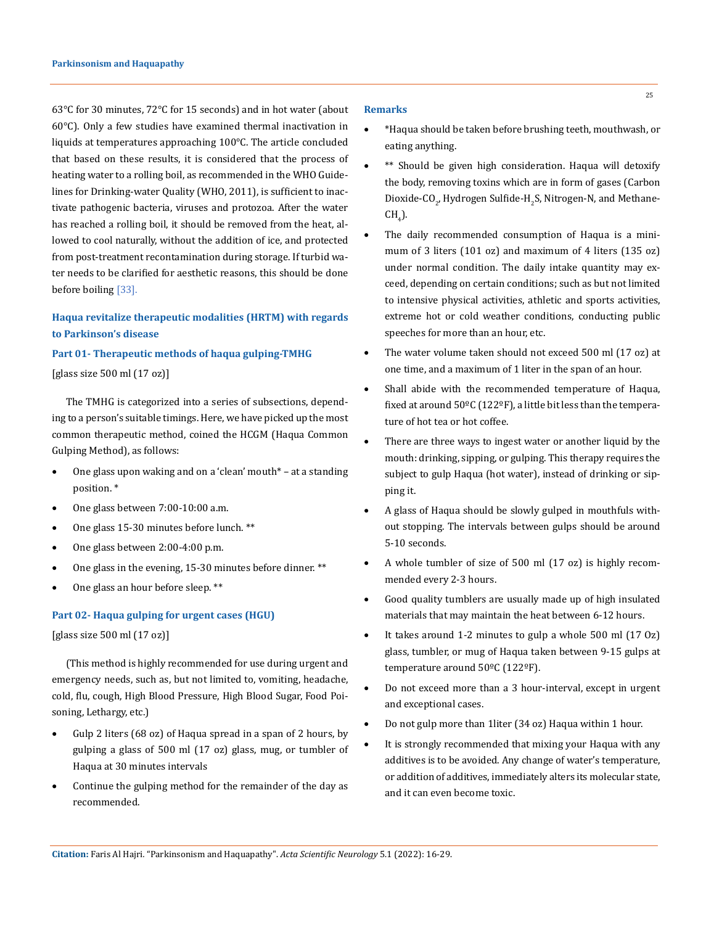63°C for 30 minutes, 72°C for 15 seconds) and in hot water (about 60°C). Only a few studies have examined thermal inactivation in liquids at temperatures approaching 100°C. The article concluded that based on these results, it is considered that the process of heating water to a rolling boil, as recommended in the WHO Guidelines for Drinking-water Quality (WHO, 2011), is sufficient to inactivate pathogenic bacteria, viruses and protozoa. After the water has reached a rolling boil, it should be removed from the heat, allowed to cool naturally, without the addition of ice, and protected from post-treatment recontamination during storage. If turbid water needs to be clarified for aesthetic reasons, this should be done before boiling [33].

# **Haqua revitalize therapeutic modalities (HRTM) with regards to Parkinson's disease**

## **Part 01- Therapeutic methods of haqua gulping-TMHG**

[glass size 500 ml (17 oz)]

The TMHG is categorized into a series of subsections, depending to a person's suitable timings. Here, we have picked up the most common therapeutic method, coined the HCGM (Haqua Common Gulping Method), as follows:

- One glass upon waking and on a 'clean' mouth $*$  at a standing position. \*
- One glass between 7:00-10:00 a.m.
- One glass 15-30 minutes before lunch. \*\*
- One glass between 2:00-4:00 p.m.
- One glass in the evening,  $15-30$  minutes before dinner. \*\*
- One glass an hour before sleep. \*\*

### **Part 02- Haqua gulping for urgent cases (HGU)**

[glass size 500 ml (17 oz)]

(This method is highly recommended for use during urgent and emergency needs, such as, but not limited to, vomiting, headache, cold, flu, cough, High Blood Pressure, High Blood Sugar, Food Poisoning, Lethargy, etc.)

- • Gulp 2 liters (68 oz) of Haqua spread in a span of 2 hours, by gulping a glass of 500 ml (17 oz) glass, mug, or tumbler of Haqua at 30 minutes intervals
- Continue the gulping method for the remainder of the day as recommended.

#### **Remarks**

- • \*Haqua should be taken before brushing teeth, mouthwash, or eating anything.
- \*\* Should be given high consideration. Haqua will detoxify the body, removing toxins which are in form of gases (Carbon Dioxide-CO<sub>2</sub>, Hydrogen Sulfide-H<sub>2</sub>S, Nitrogen-N, and Methane- $CH<sub>4</sub>$ ).
- The daily recommended consumption of Haqua is a minimum of 3 liters (101 oz) and maximum of 4 liters (135 oz) under normal condition. The daily intake quantity may exceed, depending on certain conditions; such as but not limited to intensive physical activities, athletic and sports activities, extreme hot or cold weather conditions, conducting public speeches for more than an hour, etc.
- The water volume taken should not exceed 500 ml (17 oz) at one time, and a maximum of 1 liter in the span of an hour.
- Shall abide with the recommended temperature of Haqua, fixed at around 50°C (122°F), a little bit less than the temperature of hot tea or hot coffee.
- There are three ways to ingest water or another liquid by the mouth: drinking, sipping, or gulping. This therapy requires the subject to gulp Haqua (hot water), instead of drinking or sipping it.
- A glass of Haqua should be slowly gulped in mouthfuls without stopping. The intervals between gulps should be around 5-10 seconds.
- A whole tumbler of size of 500 ml (17 oz) is highly recommended every 2-3 hours.
- Good quality tumblers are usually made up of high insulated materials that may maintain the heat between 6-12 hours.
- It takes around 1-2 minutes to gulp a whole 500 ml (17 Oz) glass, tumbler, or mug of Haqua taken between 9-15 gulps at temperature around 50ºC (122ºF).
- Do not exceed more than a 3 hour-interval, except in urgent and exceptional cases.
- Do not gulp more than 1liter (34 oz) Haqua within 1 hour.
- It is strongly recommended that mixing your Haqua with any additives is to be avoided. Any change of water's temperature, or addition of additives, immediately alters its molecular state, and it can even become toxic.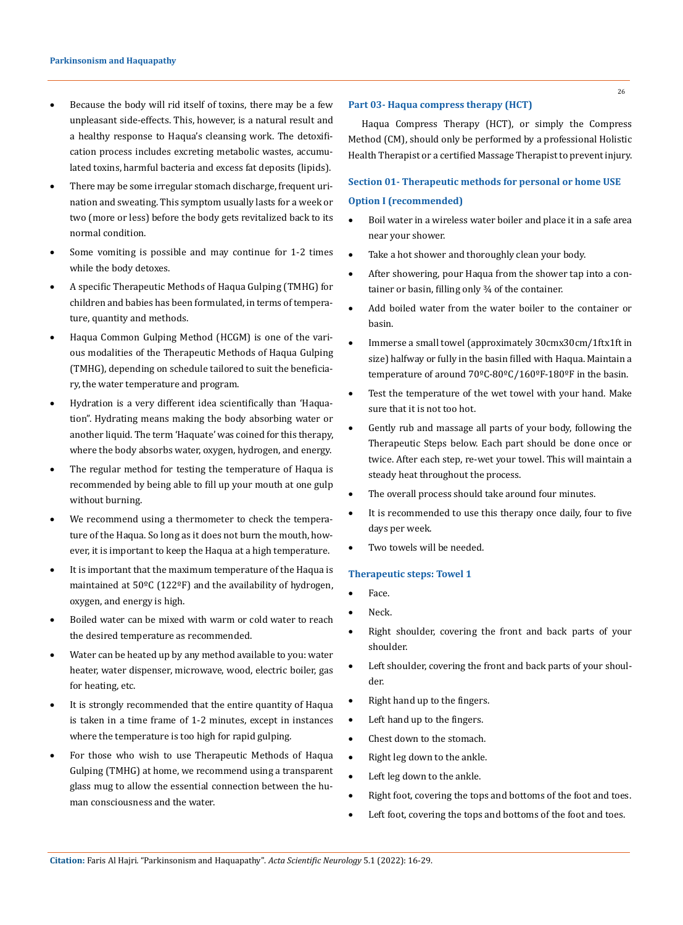- Because the body will rid itself of toxins, there may be a few unpleasant side-effects. This, however, is a natural result and a healthy response to Haqua's cleansing work. The detoxification process includes excreting metabolic wastes, accumulated toxins, harmful bacteria and excess fat deposits (lipids).
- There may be some irregular stomach discharge, frequent urination and sweating. This symptom usually lasts for a week or two (more or less) before the body gets revitalized back to its normal condition.
- Some vomiting is possible and may continue for 1-2 times while the body detoxes.
- • A specific Therapeutic Methods of Haqua Gulping (TMHG) for children and babies has been formulated, in terms of temperature, quantity and methods.
- • Haqua Common Gulping Method (HCGM) is one of the various modalities of the Therapeutic Methods of Haqua Gulping (TMHG), depending on schedule tailored to suit the beneficiary, the water temperature and program.
- • Hydration is a very different idea scientifically than 'Haquation". Hydrating means making the body absorbing water or another liquid. The term 'Haquate' was coined for this therapy, where the body absorbs water, oxygen, hydrogen, and energy.
- The regular method for testing the temperature of Haqua is recommended by being able to fill up your mouth at one gulp without burning.
- We recommend using a thermometer to check the temperature of the Haqua. So long as it does not burn the mouth, however, it is important to keep the Haqua at a high temperature.
- It is important that the maximum temperature of the Haqua is maintained at 50ºC (122ºF) and the availability of hydrogen, oxygen, and energy is high.
- Boiled water can be mixed with warm or cold water to reach the desired temperature as recommended.
- Water can be heated up by any method available to you: water heater, water dispenser, microwave, wood, electric boiler, gas for heating, etc.
- It is strongly recommended that the entire quantity of Haqua is taken in a time frame of 1-2 minutes, except in instances where the temperature is too high for rapid gulping.
- For those who wish to use Therapeutic Methods of Haqua Gulping (TMHG) at home, we recommend using a transparent glass mug to allow the essential connection between the human consciousness and the water.

### **Part 03- Haqua compress therapy (HCT)**

Haqua Compress Therapy (HCT), or simply the Compress Method (CM), should only be performed by a professional Holistic Health Therapist or a certified Massage Therapist to prevent injury.

# **Section 01- Therapeutic methods for personal or home USE Option I (recommended)**

- • Boil water in a wireless water boiler and place it in a safe area near your shower.
- Take a hot shower and thoroughly clean your body.
- After showering, pour Haqua from the shower tap into a container or basin, filling only ¾ of the container.
- Add boiled water from the water boiler to the container or basin.
- Immerse a small towel (approximately 30cmx30cm/1ftx1ft in size) halfway or fully in the basin filled with Haqua. Maintain a temperature of around  $70^{\circ}$ C-80°C/160°F-180°F in the basin.
- Test the temperature of the wet towel with your hand. Make sure that it is not too hot.
- Gently rub and massage all parts of your body, following the Therapeutic Steps below. Each part should be done once or twice. After each step, re-wet your towel. This will maintain a steady heat throughout the process.
- The overall process should take around four minutes.
- It is recommended to use this therapy once daily, four to five days per week.
- Two towels will be needed.

#### **Therapeutic steps: Towel 1**

- Face.
- • Neck.
- Right shoulder, covering the front and back parts of your shoulder.
- • Left shoulder, covering the front and back parts of your shoulder.
- • Right hand up to the fingers.
- Left hand up to the fingers.
- Chest down to the stomach.
- Right leg down to the ankle.
- Left leg down to the ankle.
- Right foot, covering the tops and bottoms of the foot and toes.
- Left foot, covering the tops and bottoms of the foot and toes.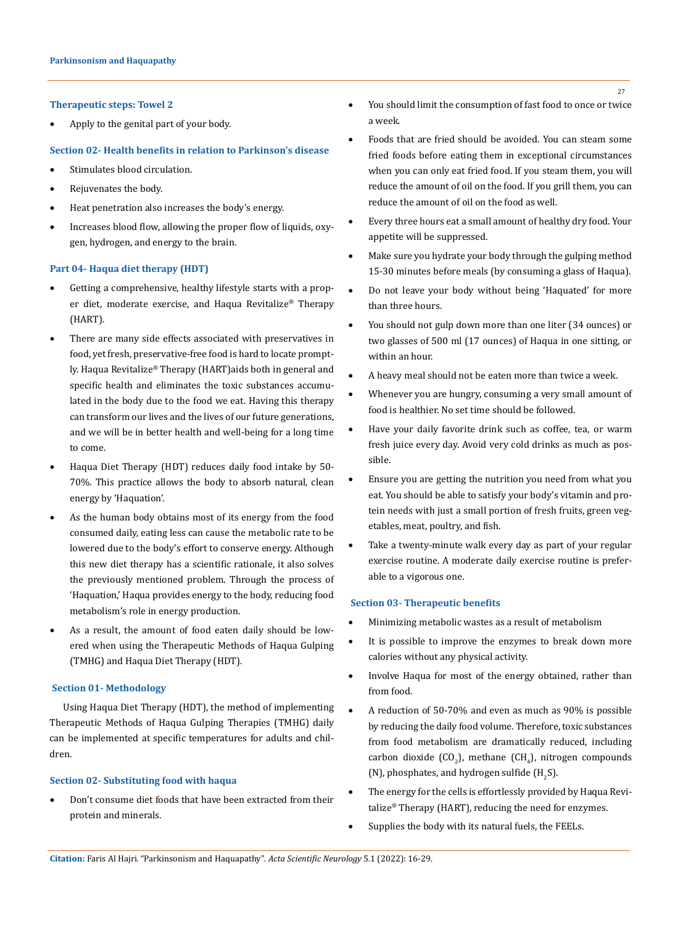#### **Therapeutic steps: Towel 2**

Apply to the genital part of your body.

## **Section 02- Health benefits in relation to Parkinson's disease**

- Stimulates blood circulation.
- Rejuvenates the body.
- Heat penetration also increases the body's energy.
- Increases blood flow, allowing the proper flow of liquids, oxygen, hydrogen, and energy to the brain.

### **Part 04- Haqua diet therapy (HDT)**

- Getting a comprehensive, healthy lifestyle starts with a proper diet, moderate exercise, and Haqua Revitalize® Therapy (HART).
- There are many side effects associated with preservatives in food, yet fresh, preservative-free food is hard to locate promptly. Haqua Revitalize® Therapy (HART)aids both in general and specific health and eliminates the toxic substances accumulated in the body due to the food we eat. Having this therapy can transform our lives and the lives of our future generations, and we will be in better health and well-being for a long time to come.
- Haqua Diet Therapy (HDT) reduces daily food intake by 50-70%. This practice allows the body to absorb natural, clean energy by 'Haquation'.
- As the human body obtains most of its energy from the food consumed daily, eating less can cause the metabolic rate to be lowered due to the body's effort to conserve energy. Although this new diet therapy has a scientific rationale, it also solves the previously mentioned problem. Through the process of 'Haquation,' Haqua provides energy to the body, reducing food metabolism's role in energy production.
- As a result, the amount of food eaten daily should be lowered when using the Therapeutic Methods of Haqua Gulping (TMHG) and Haqua Diet Therapy (HDT).

#### **Section 01- Methodology**

Using Haqua Diet Therapy (HDT), the method of implementing Therapeutic Methods of Haqua Gulping Therapies (TMHG) daily can be implemented at specific temperatures for adults and children.

#### **Section 02- Substituting food with haqua**

Don't consume diet foods that have been extracted from their protein and minerals.

- You should limit the consumption of fast food to once or twice a week.
- Foods that are fried should be avoided. You can steam some fried foods before eating them in exceptional circumstances when you can only eat fried food. If you steam them, you will reduce the amount of oil on the food. If you grill them, you can reduce the amount of oil on the food as well.
- Every three hours eat a small amount of healthy dry food. Your appetite will be suppressed.
- Make sure you hydrate your body through the gulping method 15-30 minutes before meals (by consuming a glass of Haqua).
- Do not leave your body without being 'Haquated' for more than three hours.
- You should not gulp down more than one liter (34 ounces) or two glasses of 500 ml (17 ounces) of Haqua in one sitting, or within an hour.
- A heavy meal should not be eaten more than twice a week.
- Whenever you are hungry, consuming a very small amount of food is healthier. No set time should be followed.
- Have your daily favorite drink such as coffee, tea, or warm fresh juice every day. Avoid very cold drinks as much as possible.
- Ensure you are getting the nutrition you need from what you eat. You should be able to satisfy your body's vitamin and protein needs with just a small portion of fresh fruits, green vegetables, meat, poultry, and fish.
- Take a twenty-minute walk every day as part of your regular exercise routine. A moderate daily exercise routine is preferable to a vigorous one.

## **Section 03- Therapeutic benefits**

- Minimizing metabolic wastes as a result of metabolism
- It is possible to improve the enzymes to break down more calories without any physical activity.
- Involve Haqua for most of the energy obtained, rather than from food.
- A reduction of 50-70% and even as much as 90% is possible by reducing the daily food volume. Therefore, toxic substances from food metabolism are dramatically reduced, including carbon dioxide (CO<sub>2</sub>), methane (CH<sub>4</sub>), nitrogen compounds (N), phosphates, and hydrogen sulfide (H<sub>2</sub>S).
- The energy for the cells is effortlessly provided by Haqua Revitalize® Therapy (HART), reducing the need for enzymes.
- Supplies the body with its natural fuels, the FEELs.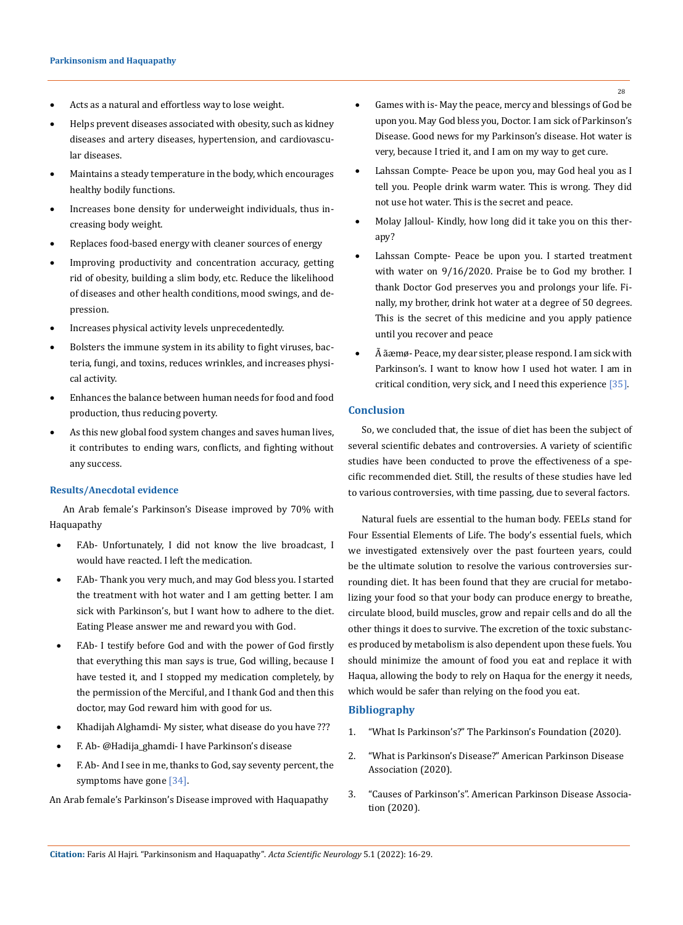- Acts as a natural and effortless way to lose weight.
- Helps prevent diseases associated with obesity, such as kidney diseases and artery diseases, hypertension, and cardiovascular diseases.
- Maintains a steady temperature in the body, which encourages healthy bodily functions.
- Increases bone density for underweight individuals, thus increasing body weight.
- • Replaces food-based energy with cleaner sources of energy
- Improving productivity and concentration accuracy, getting rid of obesity, building a slim body, etc. Reduce the likelihood of diseases and other health conditions, mood swings, and depression.
- • Increases physical activity levels unprecedentedly.
- Bolsters the immune system in its ability to fight viruses, bacteria, fungi, and toxins, reduces wrinkles, and increases physical activity.
- Enhances the balance between human needs for food and food production, thus reducing poverty.
- As this new global food system changes and saves human lives, it contributes to ending wars, conflicts, and fighting without any success.

### **Results/Anecdotal evidence**

An Arab female's Parkinson's Disease improved by 70% with Haquapathy

- F.Ab- Unfortunately, I did not know the live broadcast, I would have reacted. I left the medication.
- F.Ab- Thank you very much, and may God bless you. I started the treatment with hot water and I am getting better. I am sick with Parkinson's, but I want how to adhere to the diet. Eating Please answer me and reward you with God.
- F.Ab- I testify before God and with the power of God firstly that everything this man says is true, God willing, because I have tested it, and I stopped my medication completely, by the permission of the Merciful, and I thank God and then this doctor, may God reward him with good for us.
- Khadijah Alghamdi- My sister, what disease do you have ???
- F. Ab- @Hadija\_ghamdi- I have Parkinson's disease
- F. Ab- And I see in me, thanks to God, say seventy percent, the symptoms have gone [34].

An Arab female's Parkinson's Disease improved with Haquapathy

- Games with is- May the peace, mercy and blessings of God be upon you. May God bless you, Doctor. I am sick of Parkinson's Disease. Good news for my Parkinson's disease. Hot water is very, because I tried it, and I am on my way to get cure.
- Lahssan Compte- Peace be upon you, may God heal you as I tell you. People drink warm water. This is wrong. They did not use hot water. This is the secret and peace.
- Molay Jalloul- Kindly, how long did it take you on this therapy?
- Lahssan Compte- Peace be upon you. I started treatment with water on 9/16/2020. Praise be to God my brother. I thank Doctor God preserves you and prolongs your life. Finally, my brother, drink hot water at a degree of 50 degrees. This is the secret of this medicine and you apply patience until you recover and peace
- $\tilde{A}$  ãæmø- Peace, my dear sister, please respond. I am sick with Parkinson's. I want to know how I used hot water. I am in critical condition, very sick, and I need this experience [35].

## **Conclusion**

So, we concluded that, the issue of diet has been the subject of several scientific debates and controversies. A variety of scientific studies have been conducted to prove the effectiveness of a specific recommended diet. Still, the results of these studies have led to various controversies, with time passing, due to several factors.

Natural fuels are essential to the human body. FEELs stand for Four Essential Elements of Life. The body's essential fuels, which we investigated extensively over the past fourteen years, could be the ultimate solution to resolve the various controversies surrounding diet. It has been found that they are crucial for metabolizing your food so that your body can produce energy to breathe, circulate blood, build muscles, grow and repair cells and do all the other things it does to survive. The excretion of the toxic substances produced by metabolism is also dependent upon these fuels. You should minimize the amount of food you eat and replace it with Haqua, allowing the body to rely on Haqua for the energy it needs, which would be safer than relying on the food you eat.

### **Bibliography**

- 1. ["What Is Parkinson's?" The Parkinson's Foundation \(2020\).](https://www.parkinson.org/understanding-parkinsons/what-is-parkinsons)
- 2. ["What is Parkinson's Disease?" American Parkinson Disease](https://www.apdaparkinson.org/what-is-parkinsons)  [Association \(2020\).](https://www.apdaparkinson.org/what-is-parkinsons)
- 3. ["Causes of Parkinson's". American Parkinson Disease Associa](https://www.apdaparkinson.org/what-is-parkinsons/causes)[tion \(2020\).](https://www.apdaparkinson.org/what-is-parkinsons/causes)

28